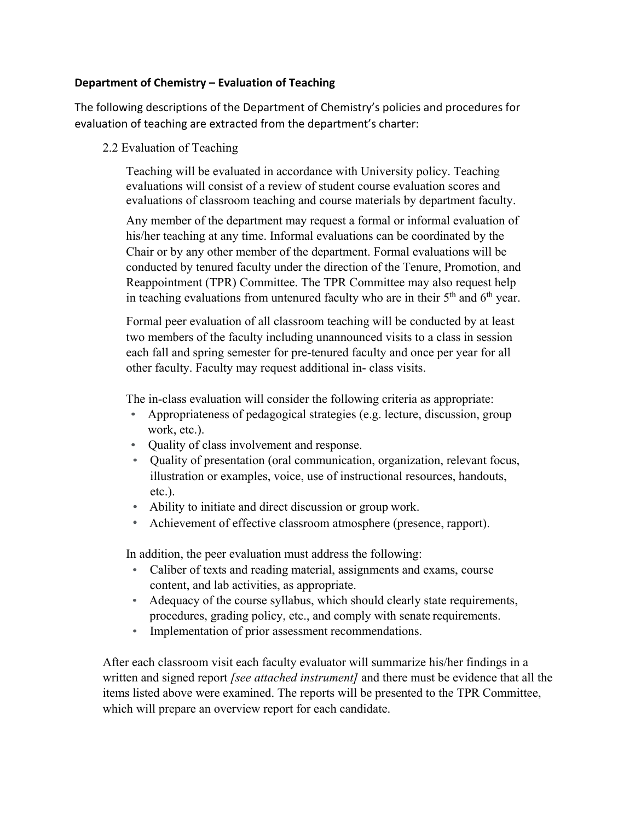## **Department of Chemistry – Evaluation of Teaching**

The following descriptions of the Department of Chemistry's policies and procedures for evaluation of teaching are extracted from the department's charter:

2.2 Evaluation of Teaching

Teaching will be evaluated in accordance with University policy. Teaching evaluations will consist of a review of student course evaluation scores and evaluations of classroom teaching and course materials by department faculty.

Any member of the department may request a formal or informal evaluation of his/her teaching at any time. Informal evaluations can be coordinated by the Chair or by any other member of the department. Formal evaluations will be conducted by tenured faculty under the direction of the Tenure, Promotion, and Reappointment (TPR) Committee. The TPR Committee may also request help in teaching evaluations from untenured faculty who are in their  $5<sup>th</sup>$  and  $6<sup>th</sup>$  year.

Formal peer evaluation of all classroom teaching will be conducted by at least two members of the faculty including unannounced visits to a class in session each fall and spring semester for pre-tenured faculty and once per year for all other faculty. Faculty may request additional in- class visits.

The in-class evaluation will consider the following criteria as appropriate:

- Appropriateness of pedagogical strategies (e.g. lecture, discussion, group work, etc.).
- Quality of class involvement and response.
- Quality of presentation (oral communication, organization, relevant focus, illustration or examples, voice, use of instructional resources, handouts, etc.).
- Ability to initiate and direct discussion or group work.
- Achievement of effective classroom atmosphere (presence, rapport).

In addition, the peer evaluation must address the following:

- Caliber of texts and reading material, assignments and exams, course content, and lab activities, as appropriate.
- Adequacy of the course syllabus, which should clearly state requirements, procedures, grading policy, etc., and comply with senate requirements.
- Implementation of prior assessment recommendations.

After each classroom visit each faculty evaluator will summarize his/her findings in a written and signed report *[see attached instrument]* and there must be evidence that all the items listed above were examined. The reports will be presented to the TPR Committee, which will prepare an overview report for each candidate.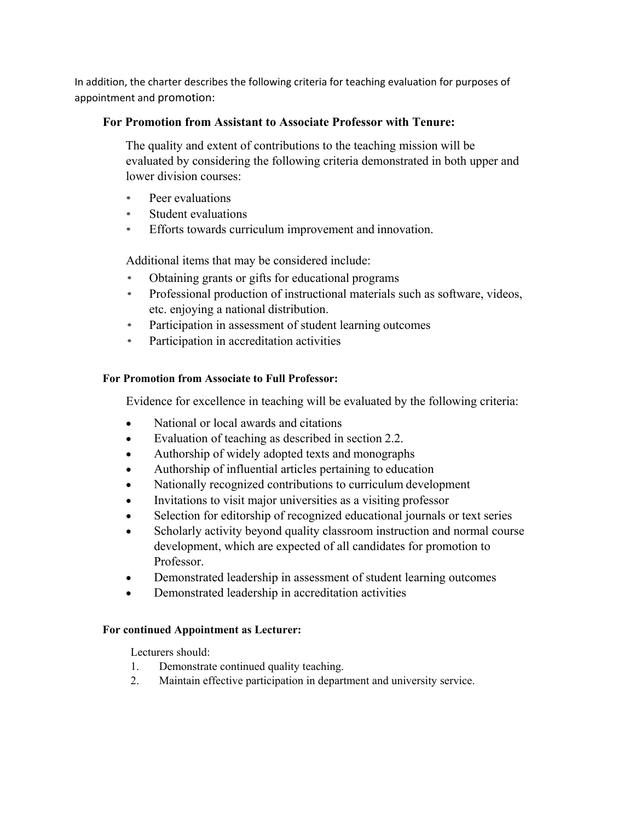In addition, the charter describes the following criteria for teaching evaluation for purposes of appointment and promotion:

# **For Promotion from Assistant to Associate Professor with Tenure:**

The quality and extent of contributions to the teaching mission will be evaluated by considering the following criteria demonstrated in both upper and lower division courses:

- Peer evaluations
- Student evaluations
- Efforts towards curriculum improvement and innovation.

Additional items that may be considered include:

- Obtaining grants or gifts for educational programs
- Professional production of instructional materials such as software, videos, etc. enjoying a national distribution.
- Participation in assessment of student learning outcomes
- Participation in accreditation activities

# **For Promotion from Associate to Full Professor:**

Evidence for excellence in teaching will be evaluated by the following criteria:

- National or local awards and citations
- Evaluation of teaching as described in section 2.2.
- Authorship of widely adopted texts and monographs
- Authorship of influential articles pertaining to education
- Nationally recognized contributions to curriculum development
- Invitations to visit major universities as a visiting professor
- Selection for editorship of recognized educational journals or text series
- Scholarly activity beyond quality classroom instruction and normal course development, which are expected of all candidates for promotion to Professor.
- Demonstrated leadership in assessment of student learning outcomes
- Demonstrated leadership in accreditation activities

## **For continued Appointment as Lecturer:**

Lecturers should:

- 1. Demonstrate continued quality teaching.
- 2. Maintain effective participation in department and university service.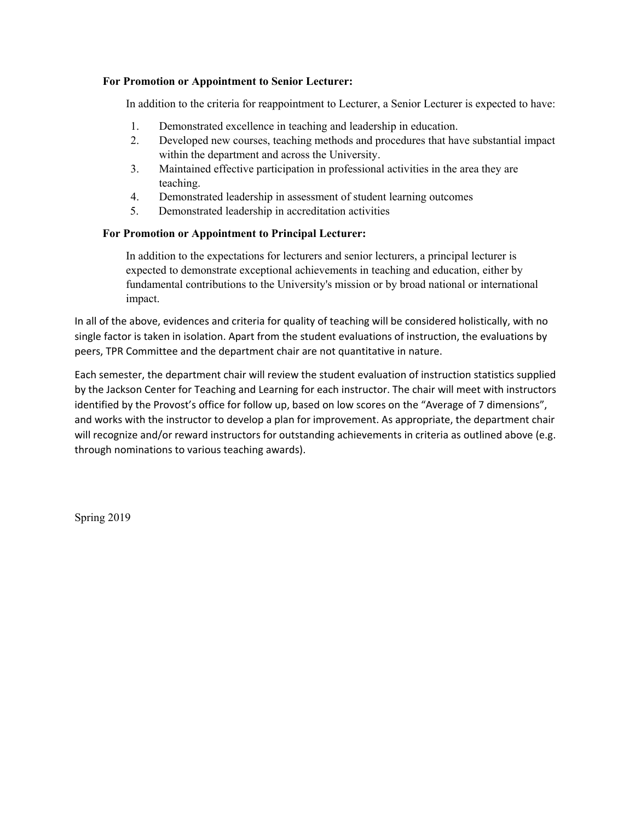#### **For Promotion or Appointment to Senior Lecturer:**

In addition to the criteria for reappointment to Lecturer, a Senior Lecturer is expected to have:

- 1. Demonstrated excellence in teaching and leadership in education.
- 2. Developed new courses, teaching methods and procedures that have substantial impact within the department and across the University.
- 3. Maintained effective participation in professional activities in the area they are teaching.
- 4. Demonstrated leadership in assessment of student learning outcomes
- 5. Demonstrated leadership in accreditation activities

#### **For Promotion or Appointment to Principal Lecturer:**

In addition to the expectations for lecturers and senior lecturers, a principal lecturer is expected to demonstrate exceptional achievements in teaching and education, either by fundamental contributions to the University's mission or by broad national or international impact.

In all of the above, evidences and criteria for quality of teaching will be considered holistically, with no single factor is taken in isolation. Apart from the student evaluations of instruction, the evaluations by peers, TPR Committee and the department chair are not quantitative in nature.

Each semester, the department chair will review the student evaluation of instruction statistics supplied by the Jackson Center for Teaching and Learning for each instructor. The chair will meet with instructors identified by the Provost's office for follow up, based on low scores on the "Average of 7 dimensions", and works with the instructor to develop a plan for improvement. As appropriate, the department chair will recognize and/or reward instructors for outstanding achievements in criteria as outlined above (e.g. through nominations to various teaching awards).

Spring 2019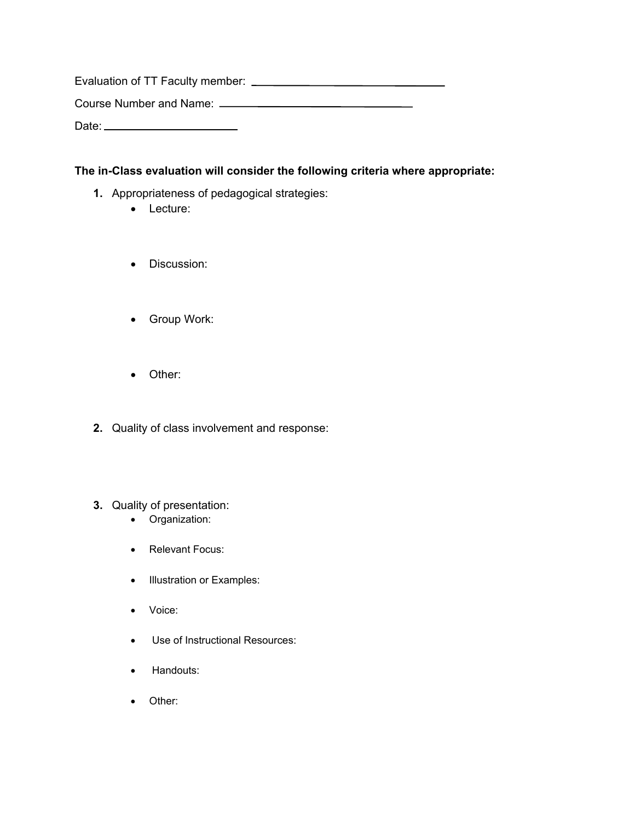Evaluation of TT Faculty member: Course Number and Name: Date:

## **The in-Class evaluation will consider the following criteria where appropriate:**

- **1.** Appropriateness of pedagogical strategies:
	- Lecture:
	- Discussion:
	- Group Work:
	- Other:
- **2.** Quality of class involvement and response:

### **3.** Quality of presentation:

- Organization:
- Relevant Focus:
- Illustration or Examples:
- Voice:
- Use of Instructional Resources:
- Handouts:
- Other: